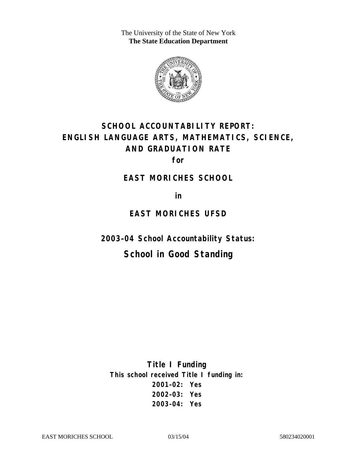The University of the State of New York **The State Education Department** 



# **SCHOOL ACCOUNTABILITY REPORT: ENGLISH LANGUAGE ARTS, MATHEMATICS, SCIENCE, AND GRADUATION RATE**

**for** 

#### **EAST MORICHES SCHOOL**

**in** 

#### **EAST MORICHES UFSD**

**2003–04 School Accountability Status:** 

## **School in Good Standing**

**Title I Funding This school received Title I funding in: 2001–02: Yes 2002–03: Yes 2003–04: Yes**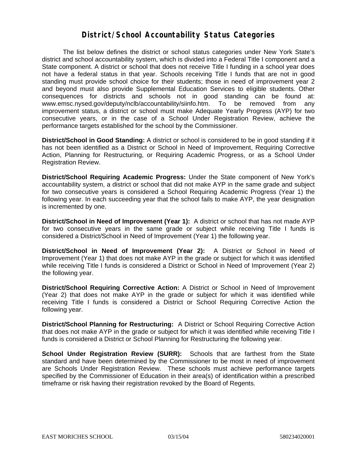#### **District/School Accountability Status Categories**

The list below defines the district or school status categories under New York State's district and school accountability system, which is divided into a Federal Title I component and a State component. A district or school that does not receive Title I funding in a school year does not have a federal status in that year. Schools receiving Title I funds that are not in good standing must provide school choice for their students; those in need of improvement year 2 and beyond must also provide Supplemental Education Services to eligible students. Other consequences for districts and schools not in good standing can be found at: www.emsc.nysed.gov/deputy/nclb/accountability/siinfo.htm. To be removed from any improvement status, a district or school must make Adequate Yearly Progress (AYP) for two consecutive years, or in the case of a School Under Registration Review, achieve the performance targets established for the school by the Commissioner.

**District/School in Good Standing:** A district or school is considered to be in good standing if it has not been identified as a District or School in Need of Improvement, Requiring Corrective Action, Planning for Restructuring, or Requiring Academic Progress, or as a School Under Registration Review.

**District/School Requiring Academic Progress:** Under the State component of New York's accountability system, a district or school that did not make AYP in the same grade and subject for two consecutive years is considered a School Requiring Academic Progress (Year 1) the following year. In each succeeding year that the school fails to make AYP, the year designation is incremented by one.

**District/School in Need of Improvement (Year 1):** A district or school that has not made AYP for two consecutive years in the same grade or subject while receiving Title I funds is considered a District/School in Need of Improvement (Year 1) the following year.

**District/School in Need of Improvement (Year 2):** A District or School in Need of Improvement (Year 1) that does not make AYP in the grade or subject for which it was identified while receiving Title I funds is considered a District or School in Need of Improvement (Year 2) the following year.

**District/School Requiring Corrective Action:** A District or School in Need of Improvement (Year 2) that does not make AYP in the grade or subject for which it was identified while receiving Title I funds is considered a District or School Requiring Corrective Action the following year.

**District/School Planning for Restructuring:** A District or School Requiring Corrective Action that does not make AYP in the grade or subject for which it was identified while receiving Title I funds is considered a District or School Planning for Restructuring the following year.

**School Under Registration Review (SURR):** Schools that are farthest from the State standard and have been determined by the Commissioner to be most in need of improvement are Schools Under Registration Review. These schools must achieve performance targets specified by the Commissioner of Education in their area(s) of identification within a prescribed timeframe or risk having their registration revoked by the Board of Regents.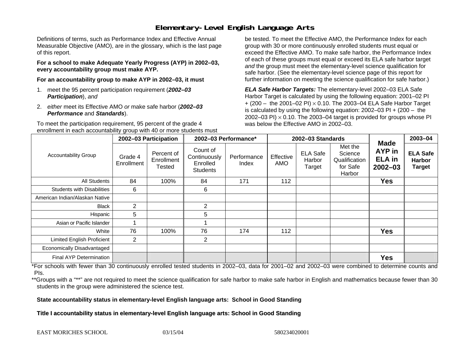### **Elementary-Level English Language Arts**

Definitions of terms, such as Performance Index and Effective Annual Measurable Objective (AMO), are in the glossary, which is the last page of this report.

**For a school to make Adequate Yearly Progress (AYP) in 2002–03, every accountability group must make AYP.** 

**For an accountability group to make AYP in 2002–03, it must** 

- 1. meet the 95 percent participation requirement (*2002–03 Participation*), *and*
- 2. *either* meet its Effective AMO *or* make safe harbor (*2002–03 Performance* and *Standards*).

To meet the participation requirement, 95 percent of the grade 4 enrollment in each accountability group with 40 or more students must

be tested. To meet the Effective AMO, the Performance Index for each group with 30 or more continuously enrolled students must equal or exceed the Effective AMO. To make safe harbor, the Performance Index of each of these groups must equal or exceed its ELA safe harbor target *and* the group must meet the elementary-level science qualification for safe harbor. (See the elementary-level science page of this report for further information on meeting the science qualification for safe harbor.)

*ELA Safe Harbor Targets:* The elementary-level 2002–03 ELA Safe Harbor Target is calculated by using the following equation: 2001–02 PI + (200 – the 2001–02 PI) <sup>×</sup> 0.10. The 2003–04 ELA Safe Harbor Target is calculated by using the following equation: 2002–03 PI + (200 – the 2002–03 PI)  $\times$  0.10. The 2003–04 target is provided for groups whose PI was below the Effective AMO in 2002–03.

|                                   |                       | 2002-03 Participation              | 2002-03 Performance*<br>2002-03 Standards               |                      |                  | $2003 - 04$                         |                                                           |                                                              |                                                   |
|-----------------------------------|-----------------------|------------------------------------|---------------------------------------------------------|----------------------|------------------|-------------------------------------|-----------------------------------------------------------|--------------------------------------------------------------|---------------------------------------------------|
| <b>Accountability Group</b>       | Grade 4<br>Enrollment | Percent of<br>Enrollment<br>Tested | Count of<br>Continuously<br>Enrolled<br><b>Students</b> | Performance<br>Index | Effective<br>AMO | <b>ELA Safe</b><br>Harbor<br>Target | Met the<br>Science<br>Qualification<br>for Safe<br>Harbor | <b>Made</b><br><b>AYP</b> in<br><b>ELA</b> in<br>$2002 - 03$ | <b>ELA Safe</b><br><b>Harbor</b><br><b>Target</b> |
| All Students                      | 84                    | 100%                               | 84                                                      | 171                  | 112              |                                     |                                                           | <b>Yes</b>                                                   |                                                   |
| <b>Students with Disabilities</b> | 6                     |                                    | 6                                                       |                      |                  |                                     |                                                           |                                                              |                                                   |
| American Indian/Alaskan Native    |                       |                                    |                                                         |                      |                  |                                     |                                                           |                                                              |                                                   |
| <b>Black</b>                      | $\overline{2}$        |                                    | $\overline{2}$                                          |                      |                  |                                     |                                                           |                                                              |                                                   |
| Hispanic                          | 5                     |                                    | 5                                                       |                      |                  |                                     |                                                           |                                                              |                                                   |
| Asian or Pacific Islander         |                       |                                    |                                                         |                      |                  |                                     |                                                           |                                                              |                                                   |
| White                             | 76                    | 100%                               | 76                                                      | 174                  | 112              |                                     |                                                           | <b>Yes</b>                                                   |                                                   |
| <b>Limited English Proficient</b> | $\overline{2}$        |                                    | $\overline{2}$                                          |                      |                  |                                     |                                                           |                                                              |                                                   |
| Economically Disadvantaged        |                       |                                    |                                                         |                      |                  |                                     |                                                           |                                                              |                                                   |
| <b>Final AYP Determination</b>    |                       |                                    |                                                         |                      |                  |                                     |                                                           | <b>Yes</b>                                                   |                                                   |

\*For schools with fewer than 30 continuously enrolled tested students in 2002–03, data for 2001–02 and 2002–03 were combined to determine counts and PIs.

\*\*Groups with a "\*\*" are not required to meet the science qualification for safe harbor to make safe harbor in English and mathematics because fewer than 30 students in the group were administered the science test.

**State accountability status in elementary-level English language arts: School in Good Standing** 

Title I accountability status in elementary-level English language arts: School in Good Standing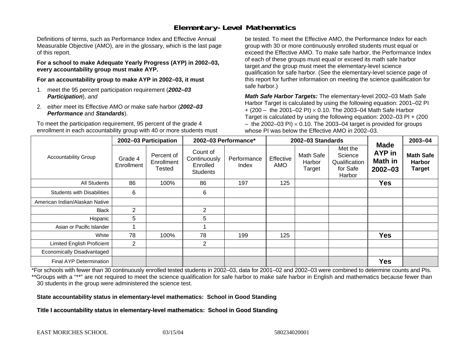### **Elementary-Level Mathematics**

Definitions of terms, such as Performance Index and Effective Annual Measurable Objective (AMO), are in the glossary, which is the last page of this report.

**For a school to make Adequate Yearly Progress (AYP) in 2002–03, every accountability group must make AYP.** 

**For an accountability group to make AYP in 2002–03, it must** 

- 1. meet the 95 percent participation requirement (*2002–03 Participation*), *and*
- 2. *either* meet its Effective AMO *or* make safe harbor (*2002–03 Performance* and *Standards*).

To meet the participation requirement, 95 percent of the grade 4 enrollment in each accountability group with 40 or more students must

be tested. To meet the Effective AMO, the Performance Index for each group with 30 or more continuously enrolled students must equal or exceed the Effective AMO. To make safe harbor, the Performance Index of each of these groups must equal or exceed its math safe harbor target *and* the group must meet the elementary-level science qualification for safe harbor. (See the elementary-level science page of this report for further information on meeting the science qualification for safe harbor.)

*Math Safe Harbor Targets:* The elementary-level 2002–03 Math Safe Harbor Target is calculated by using the following equation: 2001–02 PI + (200 – the 2001–02 PI) × 0.10. The 2003–04 Math Safe Harbor Target is calculated by using the following equation: 2002–03 PI + (200  $-$  the 2002–03 PI)  $\times$  0.10. The 2003–04 target is provided for groups whose PI was below the Effective AMO in 2002–03.

|                                   | 2002-03 Participation |                                    | 2002-03 Performance*                                    |                      |                  | 2002-03 Standards             |                                                           | 2003-04                                                       |                                                    |
|-----------------------------------|-----------------------|------------------------------------|---------------------------------------------------------|----------------------|------------------|-------------------------------|-----------------------------------------------------------|---------------------------------------------------------------|----------------------------------------------------|
| <b>Accountability Group</b>       | Grade 4<br>Enrollment | Percent of<br>Enrollment<br>Tested | Count of<br>Continuously<br>Enrolled<br><b>Students</b> | Performance<br>Index | Effective<br>AMO | Math Safe<br>Harbor<br>Target | Met the<br>Science<br>Qualification<br>for Safe<br>Harbor | <b>Made</b><br><b>AYP</b> in<br><b>Math in</b><br>$2002 - 03$ | <b>Math Safe</b><br><b>Harbor</b><br><b>Target</b> |
| All Students                      | 86                    | 100%                               | 86                                                      | 197                  | 125              |                               |                                                           | <b>Yes</b>                                                    |                                                    |
| <b>Students with Disabilities</b> | 6                     |                                    | 6                                                       |                      |                  |                               |                                                           |                                                               |                                                    |
| American Indian/Alaskan Native    |                       |                                    |                                                         |                      |                  |                               |                                                           |                                                               |                                                    |
| <b>Black</b>                      | 2                     |                                    | 2                                                       |                      |                  |                               |                                                           |                                                               |                                                    |
| Hispanic                          | 5                     |                                    | 5                                                       |                      |                  |                               |                                                           |                                                               |                                                    |
| Asian or Pacific Islander         |                       |                                    |                                                         |                      |                  |                               |                                                           |                                                               |                                                    |
| White                             | 78                    | 100%                               | 78                                                      | 199                  | 125              |                               |                                                           | <b>Yes</b>                                                    |                                                    |
| <b>Limited English Proficient</b> | $\overline{2}$        |                                    | $\overline{2}$                                          |                      |                  |                               |                                                           |                                                               |                                                    |
| Economically Disadvantaged        |                       |                                    |                                                         |                      |                  |                               |                                                           |                                                               |                                                    |
| <b>Final AYP Determination</b>    |                       |                                    |                                                         |                      |                  |                               |                                                           | <b>Yes</b>                                                    |                                                    |

\*For schools with fewer than 30 continuously enrolled tested students in 2002–03, data for 2001–02 and 2002–03 were combined to determine counts and PIs. \*\*Groups with a "\*\*" are not required to meet the science qualification for safe harbor to make safe harbor in English and mathematics because fewer than 30 students in the group were administered the science test.

**State accountability status in elementary-level mathematics: School in Good Standing** 

Title I accountability status in elementary-level mathematics: School in Good Standing

EAST MORICHES SCHOOL 03/15/04 580234020001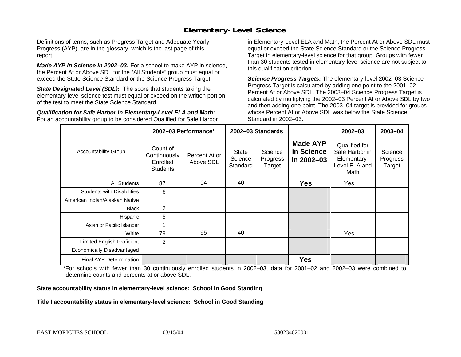#### **Elementary-Level Science**

Definitions of terms, such as Progress Target and Adequate Yearly Progress (AYP), are in the glossary, which is the last page of this report.

*Made AYP in Science in 2002–03:* For a school to make AYP in science, the Percent At or Above SDL for the "All Students" group must equal or exceed the State Science Standard or the Science Progress Target.

**State Designated Level (SDL):** The score that students taking the elementary-level science test must equal or exceed on the written portion of the test to meet the State Science Standard.

*Qualification for Safe Harbor in Elementary-Level ELA and Math:* For an accountability group to be considered Qualified for Safe Harbor in Elementary-Level ELA and Math, the Percent At or Above SDL must equal or exceed the State Science Standard or the Science Progress Target in elementary-level science for that group. Groups with fewer than 30 students tested in elementary-level science are not subject to this qualification criterion.

*Science Progress Targets:* The elementary-level 2002–03 Science Progress Target is calculated by adding one point to the 2001–02 Percent At or Above SDL. The 2003–04 Science Progress Target is calculated by multiplying the 2002–03 Percent At or Above SDL by two and then adding one point. The 2003–04 target is provided for groups whose Percent At or Above SDL was below the State Science Standard in 2002–03.

|                                   |                                                         | 2002-03 Performance*                                                                                                                       | 2002-03 Standards |                                                                         | $2002 - 03$                   | 2003-04 |
|-----------------------------------|---------------------------------------------------------|--------------------------------------------------------------------------------------------------------------------------------------------|-------------------|-------------------------------------------------------------------------|-------------------------------|---------|
| <b>Accountability Group</b>       | Count of<br>Continuously<br>Enrolled<br><b>Students</b> | <b>Made AYP</b><br>in Science<br>Science<br>State<br>Percent At or<br>Science<br>Progress<br>in 2002-03<br>Above SDL<br>Standard<br>Target |                   | Qualified for<br>Safe Harbor in<br>Elementary-<br>Level ELA and<br>Math | Science<br>Progress<br>Target |         |
| All Students                      | 87                                                      | 94                                                                                                                                         | 40                | <b>Yes</b>                                                              | Yes                           |         |
| <b>Students with Disabilities</b> | 6                                                       |                                                                                                                                            |                   |                                                                         |                               |         |
| American Indian/Alaskan Native    |                                                         |                                                                                                                                            |                   |                                                                         |                               |         |
| <b>Black</b>                      | 2                                                       |                                                                                                                                            |                   |                                                                         |                               |         |
| Hispanic                          | 5                                                       |                                                                                                                                            |                   |                                                                         |                               |         |
| Asian or Pacific Islander         |                                                         |                                                                                                                                            |                   |                                                                         |                               |         |
| White                             | 79                                                      | 95                                                                                                                                         | 40                |                                                                         | Yes                           |         |
| Limited English Proficient        | $\overline{2}$                                          |                                                                                                                                            |                   |                                                                         |                               |         |
| Economically Disadvantaged        |                                                         |                                                                                                                                            |                   |                                                                         |                               |         |
| <b>Final AYP Determination</b>    |                                                         |                                                                                                                                            |                   | <b>Yes</b>                                                              |                               |         |

\*For schools with fewer than 30 continuously enrolled students in 2002–03, data for 2001–02 and 2002–03 were combined to determine counts and percents at or above SDL.

#### **State accountability status in elementary-level science: School in Good Standing**

#### Title I accountability status in elementary-level science: School in Good Standing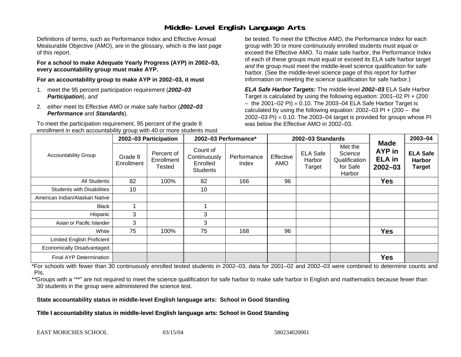#### **Middle-Level English Language Arts**

Definitions of terms, such as Performance Index and Effective Annual Measurable Objective (AMO), are in the glossary, which is the last page of this report.

**For a school to make Adequate Yearly Progress (AYP) in 2002–03, every accountability group must make AYP.** 

**For an accountability group to make AYP in 2002–03, it must** 

- 1. meet the 95 percent participation requirement (*2002–03 Participation*), *and*
- 2. *either* meet its Effective AMO *or* make safe harbor (*2002–03 Performance* and *Standards*).

To meet the participation requirement, 95 percent of the grade 8 enrollment in each accountability group with 40 or more students must

be tested. To meet the Effective AMO, the Performance Index for each group with 30 or more continuously enrolled students must equal or exceed the Effective AMO. To make safe harbor, the Performance Index of each of these groups must equal or exceed its ELA safe harbor target *and* the group must meet the middle-level science qualification for safe harbor. (See the middle-level science page of this report for further information on meeting the science qualification for safe harbor.)

*ELA Safe Harbor Targets:* The middle-level *2002–03* ELA Safe Harbor Target is calculated by using the following equation: 2001–02 PI + (200  $-$  the 2001–02 PI)  $\times$  0.10. The 2003–04 ELA Safe Harbor Target is  $\,$ calculated by using the following equation:  $2002-03$  PI +  $(200 -$  the 2002–03 PI)  $\times$  0.10. The 2003–04 target is provided for groups whose PI was below the Effective AMO in 2002–03.

|                                   |                       | 2002-03 Participation              | 2002-03 Performance*                                    |                      | 2002-03 Standards |                                     |                                                           | 2003-04                                               |                                                   |
|-----------------------------------|-----------------------|------------------------------------|---------------------------------------------------------|----------------------|-------------------|-------------------------------------|-----------------------------------------------------------|-------------------------------------------------------|---------------------------------------------------|
| <b>Accountability Group</b>       | Grade 8<br>Enrollment | Percent of<br>Enrollment<br>Tested | Count of<br>Continuously<br>Enrolled<br><b>Students</b> | Performance<br>Index | Effective<br>AMO  | <b>ELA Safe</b><br>Harbor<br>Target | Met the<br>Science<br>Qualification<br>for Safe<br>Harbor | <b>Made</b><br>AYP in<br><b>ELA</b> in<br>$2002 - 03$ | <b>ELA Safe</b><br><b>Harbor</b><br><b>Target</b> |
| All Students                      | 82                    | 100%                               | 82                                                      | 166                  | 96                |                                     |                                                           | <b>Yes</b>                                            |                                                   |
| <b>Students with Disabilities</b> | 10                    |                                    | 10                                                      |                      |                   |                                     |                                                           |                                                       |                                                   |
| American Indian/Alaskan Native    |                       |                                    |                                                         |                      |                   |                                     |                                                           |                                                       |                                                   |
| <b>Black</b>                      |                       |                                    |                                                         |                      |                   |                                     |                                                           |                                                       |                                                   |
| Hispanic                          | 3                     |                                    | 3                                                       |                      |                   |                                     |                                                           |                                                       |                                                   |
| Asian or Pacific Islander         | 3                     |                                    | 3                                                       |                      |                   |                                     |                                                           |                                                       |                                                   |
| White                             | 75                    | 100%                               | 75                                                      | 168                  | 96                |                                     |                                                           | <b>Yes</b>                                            |                                                   |
| <b>Limited English Proficient</b> |                       |                                    |                                                         |                      |                   |                                     |                                                           |                                                       |                                                   |
| Economically Disadvantaged        |                       |                                    |                                                         |                      |                   |                                     |                                                           |                                                       |                                                   |
| <b>Final AYP Determination</b>    |                       |                                    |                                                         |                      |                   |                                     |                                                           | <b>Yes</b>                                            |                                                   |

\*For schools with fewer than 30 continuously enrolled tested students in 2002–03, data for 2001–02 and 2002–03 were combined to determine counts and PIs.

\*\*Groups with a "\*\*" are not required to meet the science qualification for safe harbor to make safe harbor in English and mathematics because fewer than 30 students in the group were administered the science test.

**State accountability status in middle-level English language arts: School in Good Standing** 

Title I accountability status in middle-level English language arts: School in Good Standing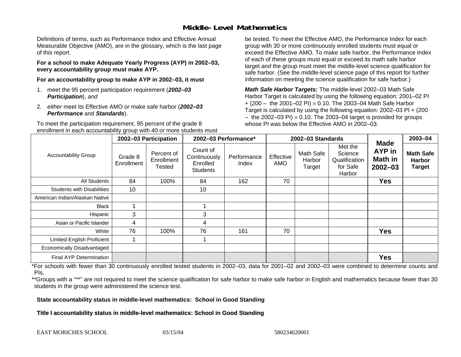#### **Middle-Level Mathematics**

Definitions of terms, such as Performance Index and Effective Annual Measurable Objective (AMO), are in the glossary, which is the last page of this report.

**For a school to make Adequate Yearly Progress (AYP) in 2002–03, every accountability group must make AYP.** 

**For an accountability group to make AYP in 2002–03, it must** 

- 1. meet the 95 percent participation requirement (*2002–03 Participation*), *and*
- 2. *either* meet its Effective AMO *or* make safe harbor (*2002–03 Performance* and *Standards*).

To meet the participation requirement, 95 percent of the grade 8 enrollment in each accountability group with 40 or more students must

be tested. To meet the Effective AMO, the Performance Index for each group with 30 or more continuously enrolled students must equal or exceed the Effective AMO. To make safe harbor, the Performance Index of each of these groups must equal or exceed its math safe harbor target *and* the group must meet the middle-level science qualification for safe harbor. (See the middle-level science page of this report for further information on meeting the science qualification for safe harbor.)

*Math Safe Harbor Targets:* The middle-level 2002–03 Math Safe Harbor Target is calculated by using the following equation: 2001–02 PI + (200 – the 2001–02 PI) × 0.10. The 2003–04 Math Safe Harbor Target is calculated by using the following equation: 2002–03 PI + (200  $-$  the 2002–03 PI)  $\times$  0.10. The 2003–04 target is provided for groups whose PI was below the Effective AMO in 2002–03

|                                   | 2002-03 Participation |                                    | 2002-03 Performance*                                    |                      |                  | 2002-03 Standards                    |                                                           | 2003-04                                                |                                                    |
|-----------------------------------|-----------------------|------------------------------------|---------------------------------------------------------|----------------------|------------------|--------------------------------------|-----------------------------------------------------------|--------------------------------------------------------|----------------------------------------------------|
| <b>Accountability Group</b>       | Grade 8<br>Enrollment | Percent of<br>Enrollment<br>Tested | Count of<br>Continuously<br>Enrolled<br><b>Students</b> | Performance<br>Index | Effective<br>AMO | <b>Math Safe</b><br>Harbor<br>Target | Met the<br>Science<br>Qualification<br>for Safe<br>Harbor | <b>Made</b><br>AYP in<br><b>Math in</b><br>$2002 - 03$ | <b>Math Safe</b><br><b>Harbor</b><br><b>Target</b> |
| <b>All Students</b>               | 84                    | 100%                               | 84                                                      | 162                  | 70               |                                      |                                                           | <b>Yes</b>                                             |                                                    |
| <b>Students with Disabilities</b> | 10                    |                                    | 10                                                      |                      |                  |                                      |                                                           |                                                        |                                                    |
| American Indian/Alaskan Native    |                       |                                    |                                                         |                      |                  |                                      |                                                           |                                                        |                                                    |
| <b>Black</b>                      |                       |                                    |                                                         |                      |                  |                                      |                                                           |                                                        |                                                    |
| Hispanic                          | 3                     |                                    | 3                                                       |                      |                  |                                      |                                                           |                                                        |                                                    |
| Asian or Pacific Islander         | 4                     |                                    | 4                                                       |                      |                  |                                      |                                                           |                                                        |                                                    |
| White                             | 76                    | 100%                               | 76                                                      | 161                  | 70               |                                      |                                                           | <b>Yes</b>                                             |                                                    |
| <b>Limited English Proficient</b> |                       |                                    |                                                         |                      |                  |                                      |                                                           |                                                        |                                                    |
| Economically Disadvantaged        |                       |                                    |                                                         |                      |                  |                                      |                                                           |                                                        |                                                    |
| <b>Final AYP Determination</b>    |                       |                                    |                                                         |                      |                  |                                      |                                                           | <b>Yes</b>                                             |                                                    |

\*For schools with fewer than 30 continuously enrolled tested students in 2002–03, data for 2001–02 and 2002–03 were combined to determine counts and PIs.

\*\*Groups with a "\*\*" are not required to meet the science qualification for safe harbor to make safe harbor in English and mathematics because fewer than 30 students in the group were administered the science test.

**State accountability status in middle-level mathematics: School in Good Standing** 

Title I accountability status in middle-level mathematics: School in Good Standing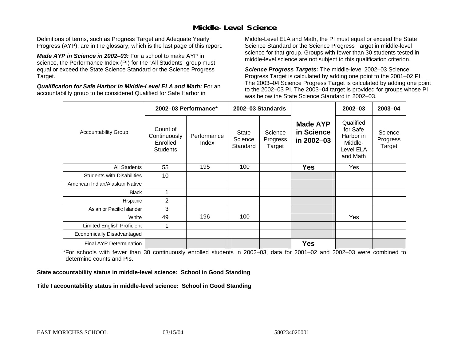#### **Middle-Level Science**

Definitions of terms, such as Progress Target and Adequate Yearly Progress (AYP), are in the glossary, which is the last page of this report.

*Made AYP in Science in 2002–03:* For a school to make AYP in science, the Performance Index (PI) for the "All Students" group must equal or exceed the State Science Standard or the Science Progress Target.

*Qualification for Safe Harbor in Middle-Level ELA and Math:* For an accountability group to be considered Qualified for Safe Harbor in

Middle-Level ELA and Math, the PI must equal or exceed the State Science Standard or the Science Progress Target in middle-level science for that group. Groups with fewer than 30 students tested in middle-level science are not subject to this qualification criterion.

*Science Progress Targets:* The middle-level 2002–03 Science Progress Target is calculated by adding one point to the 2001–02 PI. The 2003–04 Science Progress Target is calculated by adding one point to the 2002–03 PI. The 2003–04 target is provided for groups whose PI was below the State Science Standard in 2002–03.

|                                   |                                                         | 2002-03 Performance* |                              | 2002-03 Standards             |                                             | $2002 - 03$                                                            | $2003 - 04$                   |
|-----------------------------------|---------------------------------------------------------|----------------------|------------------------------|-------------------------------|---------------------------------------------|------------------------------------------------------------------------|-------------------------------|
| <b>Accountability Group</b>       | Count of<br>Continuously<br>Enrolled<br><b>Students</b> | Performance<br>Index | State<br>Science<br>Standard | Science<br>Progress<br>Target | <b>Made AYP</b><br>in Science<br>in 2002-03 | Qualified<br>for Safe<br>Harbor in<br>Middle-<br>Level ELA<br>and Math | Science<br>Progress<br>Target |
| <b>All Students</b>               | 55                                                      | 195                  | 100                          |                               | <b>Yes</b>                                  | Yes                                                                    |                               |
| <b>Students with Disabilities</b> | 10                                                      |                      |                              |                               |                                             |                                                                        |                               |
| American Indian/Alaskan Native    |                                                         |                      |                              |                               |                                             |                                                                        |                               |
| <b>Black</b>                      | 1                                                       |                      |                              |                               |                                             |                                                                        |                               |
| Hispanic                          | 2                                                       |                      |                              |                               |                                             |                                                                        |                               |
| Asian or Pacific Islander         | 3                                                       |                      |                              |                               |                                             |                                                                        |                               |
| White                             | 49                                                      | 196                  | 100                          |                               |                                             | Yes                                                                    |                               |
| Limited English Proficient        | 1                                                       |                      |                              |                               |                                             |                                                                        |                               |
| Economically Disadvantaged        |                                                         |                      |                              |                               |                                             |                                                                        |                               |
| <b>Final AYP Determination</b>    |                                                         |                      |                              |                               | <b>Yes</b>                                  |                                                                        |                               |

\*For schools with fewer than 30 continuously enrolled students in 2002–03, data for 2001–02 and 2002–03 were combined to determine counts and PIs.

**State accountability status in middle-level science: School in Good Standing** 

Title I accountability status in middle-level science: School in Good Standing